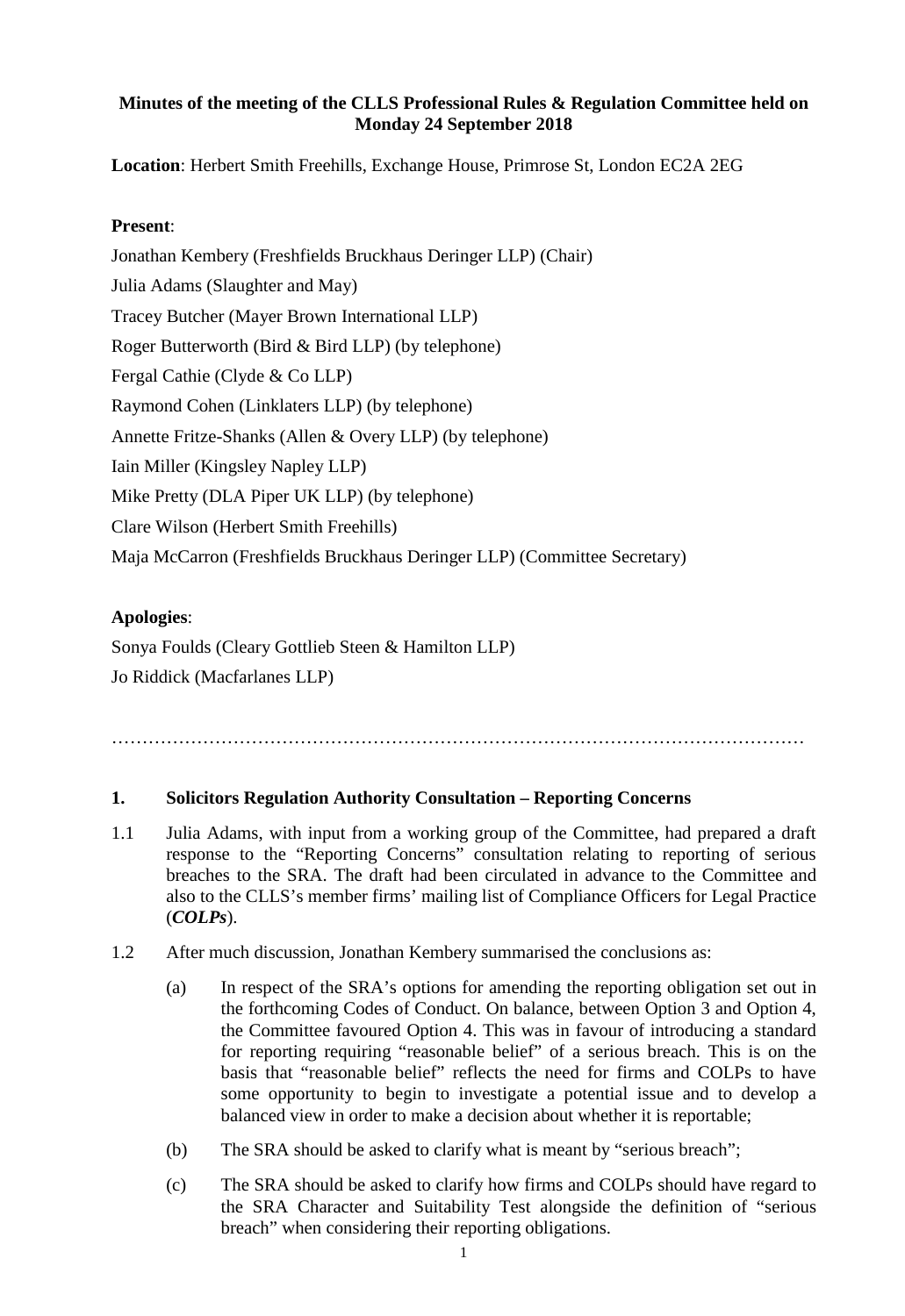## **Minutes of the meeting of the CLLS Professional Rules & Regulation Committee held on Monday 24 September 2018**

**Location**: Herbert Smith Freehills, Exchange House, Primrose St, London EC2A 2EG

## **Present**:

Jonathan Kembery (Freshfields Bruckhaus Deringer LLP) (Chair) Julia Adams (Slaughter and May) Tracey Butcher (Mayer Brown International LLP) Roger Butterworth (Bird & Bird LLP) (by telephone) Fergal Cathie (Clyde & Co LLP) Raymond Cohen (Linklaters LLP) (by telephone) Annette Fritze-Shanks (Allen & Overy LLP) (by telephone) Iain Miller (Kingsley Napley LLP) Mike Pretty (DLA Piper UK LLP) (by telephone) Clare Wilson (Herbert Smith Freehills) Maja McCarron (Freshfields Bruckhaus Deringer LLP) (Committee Secretary)

# **Apologies**:

Sonya Foulds (Cleary Gottlieb Steen & Hamilton LLP) Jo Riddick (Macfarlanes LLP)

……………………………………………………………………………………………………

### **1. Solicitors Regulation Authority Consultation – Reporting Concerns**

- 1.1 Julia Adams, with input from a working group of the Committee, had prepared a draft response to the "Reporting Concerns" consultation relating to reporting of serious breaches to the SRA. The draft had been circulated in advance to the Committee and also to the CLLS's member firms' mailing list of Compliance Officers for Legal Practice (*COLPs*).
- 1.2 After much discussion, Jonathan Kembery summarised the conclusions as:
	- (a) In respect of the SRA's options for amending the reporting obligation set out in the forthcoming Codes of Conduct. On balance, between Option 3 and Option 4, the Committee favoured Option 4. This was in favour of introducing a standard for reporting requiring "reasonable belief" of a serious breach. This is on the basis that "reasonable belief" reflects the need for firms and COLPs to have some opportunity to begin to investigate a potential issue and to develop a balanced view in order to make a decision about whether it is reportable;
	- (b) The SRA should be asked to clarify what is meant by "serious breach";
	- (c) The SRA should be asked to clarify how firms and COLPs should have regard to the SRA Character and Suitability Test alongside the definition of "serious breach" when considering their reporting obligations.